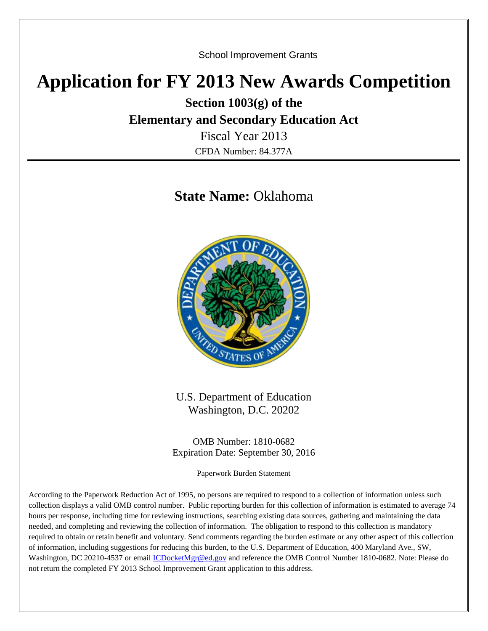School Improvement Grants

# **Application for FY 2013 New Awards Competition**

**Section 1003(g) of the**

# **Elementary and Secondary Education Act**

Fiscal Year 2013 CFDA Number: 84.377A

# **State Name:** Oklahoma



U.S. Department of Education Washington, D.C. 20202

OMB Number: 1810-0682 Expiration Date: September 30, 2016

Paperwork Burden Statement

According to the Paperwork Reduction Act of 1995, no persons are required to respond to a collection of information unless such collection displays a valid OMB control number. Public reporting burden for this collection of information is estimated to average 74 hours per response, including time for reviewing instructions, searching existing data sources, gathering and maintaining the data needed, and completing and reviewing the collection of information. The obligation to respond to this collection is mandatory required to obtain or retain benefit and voluntary. Send comments regarding the burden estimate or any other aspect of this collection of information, including suggestions for reducing this burden, to the U.S. Department of Education, 400 Maryland Ave., SW, Washington, DC 20210-4537 or email [ICDocketMgr@ed.gov](mailto:ICDocketMgr@ed.gov) and reference the OMB Control Number 1810-0682. Note: Please do not return the completed FY 2013 School Improvement Grant application to this address.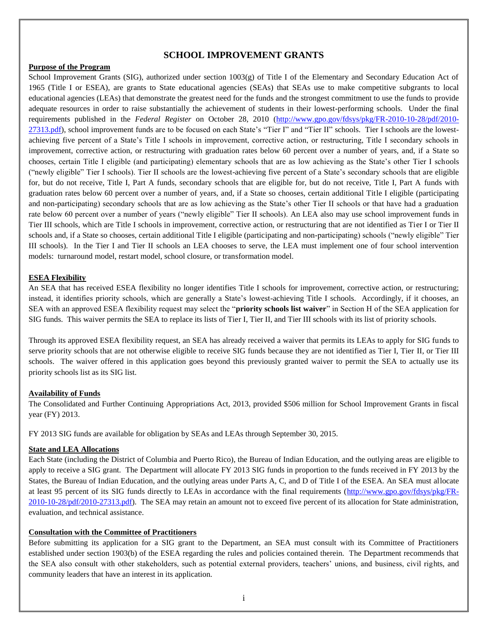#### **SCHOOL IMPROVEMENT GRANTS**

#### **Purpose of the Program**

School Improvement Grants (SIG), authorized under section 1003(g) of Title I of the Elementary and Secondary Education Act of 1965 (Title I or ESEA), are grants to State educational agencies (SEAs) that SEAs use to make competitive subgrants to local educational agencies (LEAs) that demonstrate the greatest need for the funds and the strongest commitment to use the funds to provide adequate resources in order to raise substantially the achievement of students in their lowest-performing schools. Under the final requirements published in the *Federal Register* on October 28, 2010 [\(http://www.gpo.gov/fdsys/pkg/FR-2010-10-28/pdf/2010-](http://www.gpo.gov/fdsys/pkg/FR-2010-10-28/pdf/2010-27313.pdf) [27313.pdf\)](http://www.gpo.gov/fdsys/pkg/FR-2010-10-28/pdf/2010-27313.pdf), school improvement funds are to be focused on each State's "Tier I" and "Tier II" schools. Tier I schools are the lowestachieving five percent of a State's Title I schools in improvement, corrective action, or restructuring, Title I secondary schools in improvement, corrective action, or restructuring with graduation rates below 60 percent over a number of years, and, if a State so chooses, certain Title I eligible (and participating) elementary schools that are as low achieving as the State's other Tier I schools ("newly eligible" Tier I schools). Tier II schools are the lowest-achieving five percent of a State's secondary schools that are eligible for, but do not receive, Title I, Part A funds, secondary schools that are eligible for, but do not receive, Title I, Part A funds with graduation rates below 60 percent over a number of years, and, if a State so chooses, certain additional Title I eligible (participating and non-participating) secondary schools that are as low achieving as the State's other Tier II schools or that have had a graduation rate below 60 percent over a number of years ("newly eligible" Tier II schools). An LEA also may use school improvement funds in Tier III schools, which are Title I schools in improvement, corrective action, or restructuring that are not identified as Tier I or Tier II schools and, if a State so chooses, certain additional Title I eligible (participating and non-participating) schools ("newly eligible" Tier III schools). In the Tier I and Tier II schools an LEA chooses to serve, the LEA must implement one of four school intervention models: turnaround model, restart model, school closure, or transformation model.

#### **ESEA Flexibility**

An SEA that has received ESEA flexibility no longer identifies Title I schools for improvement, corrective action, or restructuring; instead, it identifies priority schools, which are generally a State's lowest-achieving Title I schools. Accordingly, if it chooses, an SEA with an approved ESEA flexibility request may select the "**priority schools list waiver**" in Section H of the SEA application for SIG funds. This waiver permits the SEA to replace its lists of Tier I, Tier II, and Tier III schools with its list of priority schools.

Through its approved ESEA flexibility request, an SEA has already received a waiver that permits its LEAs to apply for SIG funds to serve priority schools that are not otherwise eligible to receive SIG funds because they are not identified as Tier I, Tier II, or Tier III schools. The waiver offered in this application goes beyond this previously granted waiver to permit the SEA to actually use its priority schools list as its SIG list.

#### **Availability of Funds**

The Consolidated and Further Continuing Appropriations Act, 2013, provided \$506 million for School Improvement Grants in fiscal year (FY) 2013.

FY 2013 SIG funds are available for obligation by SEAs and LEAs through September 30, 2015.

#### **State and LEA Allocations**

Each State (including the District of Columbia and Puerto Rico), the Bureau of Indian Education, and the outlying areas are eligible to apply to receive a SIG grant. The Department will allocate FY 2013 SIG funds in proportion to the funds received in FY 2013 by the States, the Bureau of Indian Education, and the outlying areas under Parts A, C, and D of Title I of the ESEA. An SEA must allocate at least 95 percent of its SIG funds directly to LEAs in accordance with the final requirements [\(http://www.gpo.gov/fdsys/pkg/FR-](http://www.gpo.gov/fdsys/pkg/FR-2010-10-28/pdf/2010-27313.pdf)[2010-10-28/pdf/2010-27313.pdf\)](http://www.gpo.gov/fdsys/pkg/FR-2010-10-28/pdf/2010-27313.pdf). The SEA may retain an amount not to exceed five percent of its allocation for State administration, evaluation, and technical assistance.

#### **Consultation with the Committee of Practitioners**

Before submitting its application for a SIG grant to the Department, an SEA must consult with its Committee of Practitioners established under section 1903(b) of the ESEA regarding the rules and policies contained therein. The Department recommends that the SEA also consult with other stakeholders, such as potential external providers, teachers' unions, and business, civil rights, and community leaders that have an interest in its application.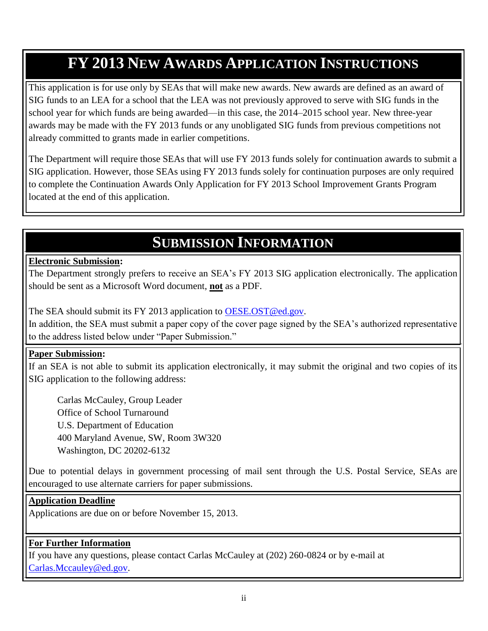# **FY 2013 NEW AWARDS APPLICATION INSTRUCTIONS**

This application is for use only by SEAs that will make new awards. New awards are defined as an award of SIG funds to an LEA for a school that the LEA was not previously approved to serve with SIG funds in the school year for which funds are being awarded—in this case, the 2014–2015 school year. New three-year awards may be made with the FY 2013 funds or any unobligated SIG funds from previous competitions not already committed to grants made in earlier competitions.

The Department will require those SEAs that will use FY 2013 funds solely for continuation awards to submit a SIG application. However, those SEAs using FY 2013 funds solely for continuation purposes are only required to complete the Continuation Awards Only Application for FY 2013 School Improvement Grants Program located at the end of this application.

# **SUBMISSION INFORMATION**

### **Electronic Submission:**

The Department strongly prefers to receive an SEA's FY 2013 SIG application electronically. The application should be sent as a Microsoft Word document, **not** as a PDF.

The SEA should submit its FY 2013 application to [OESE.OST@ed.gov.](mailto:OESE.OST@ed.gov)

In addition, the SEA must submit a paper copy of the cover page signed by the SEA's authorized representative to the address listed below under "Paper Submission."

#### **Paper Submission:**

If an SEA is not able to submit its application electronically, it may submit the original and two copies of its SIG application to the following address:

Carlas McCauley, Group Leader Office of School Turnaround U.S. Department of Education 400 Maryland Avenue, SW, Room 3W320 Washington, DC 20202-6132

Due to potential delays in government processing of mail sent through the U.S. Postal Service, SEAs are encouraged to use alternate carriers for paper submissions.

#### **Application Deadline**

Applications are due on or before November 15, 2013.

### **For Further Information**

If you have any questions, please contact Carlas McCauley at (202) 260-0824 or by e-mail at [Carlas.Mccauley@ed.gov.](mailto:Carlas.Mccauley@ed.gov)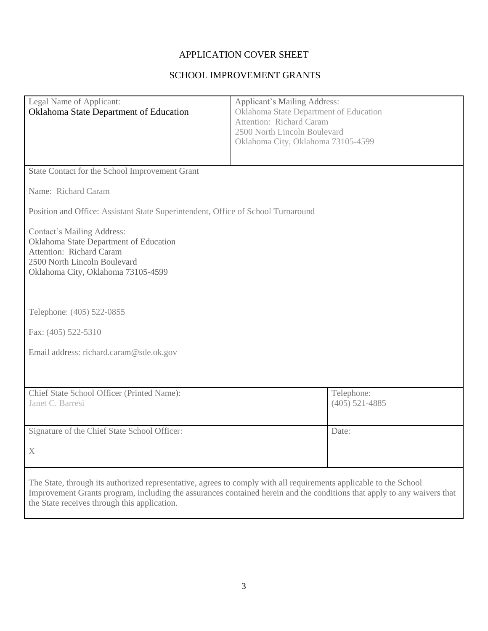# APPLICATION COVER SHEET

### SCHOOL IMPROVEMENT GRANTS

| Legal Name of Applicant:                                                                                          | <b>Applicant's Mailing Address:</b>                                                                                     |  |  |
|-------------------------------------------------------------------------------------------------------------------|-------------------------------------------------------------------------------------------------------------------------|--|--|
| Oklahoma State Department of Education                                                                            | Oklahoma State Department of Education<br><b>Attention: Richard Caram</b>                                               |  |  |
|                                                                                                                   | 2500 North Lincoln Boulevard                                                                                            |  |  |
|                                                                                                                   | Oklahoma City, Oklahoma 73105-4599                                                                                      |  |  |
|                                                                                                                   |                                                                                                                         |  |  |
|                                                                                                                   |                                                                                                                         |  |  |
| State Contact for the School Improvement Grant                                                                    |                                                                                                                         |  |  |
| Name: Richard Caram                                                                                               |                                                                                                                         |  |  |
| Position and Office: Assistant State Superintendent, Office of School Turnaround                                  |                                                                                                                         |  |  |
| <b>Contact's Mailing Address:</b>                                                                                 |                                                                                                                         |  |  |
| Oklahoma State Department of Education                                                                            |                                                                                                                         |  |  |
| <b>Attention: Richard Caram</b>                                                                                   |                                                                                                                         |  |  |
| 2500 North Lincoln Boulevard                                                                                      |                                                                                                                         |  |  |
| Oklahoma City, Oklahoma 73105-4599                                                                                |                                                                                                                         |  |  |
|                                                                                                                   |                                                                                                                         |  |  |
|                                                                                                                   |                                                                                                                         |  |  |
| Telephone: (405) 522-0855                                                                                         |                                                                                                                         |  |  |
|                                                                                                                   |                                                                                                                         |  |  |
| Fax: (405) 522-5310                                                                                               |                                                                                                                         |  |  |
|                                                                                                                   |                                                                                                                         |  |  |
| Email address: richard.caram@sde.ok.gov                                                                           |                                                                                                                         |  |  |
|                                                                                                                   |                                                                                                                         |  |  |
|                                                                                                                   |                                                                                                                         |  |  |
| Chief State School Officer (Printed Name):                                                                        | Telephone:                                                                                                              |  |  |
| Janet C. Barresi                                                                                                  | $(405)$ 521-4885                                                                                                        |  |  |
|                                                                                                                   |                                                                                                                         |  |  |
|                                                                                                                   |                                                                                                                         |  |  |
| Signature of the Chief State School Officer:                                                                      | Date:                                                                                                                   |  |  |
|                                                                                                                   |                                                                                                                         |  |  |
|                                                                                                                   |                                                                                                                         |  |  |
|                                                                                                                   |                                                                                                                         |  |  |
| The State, through its authorized representative, agrees to comply with all requirements applicable to the School |                                                                                                                         |  |  |
|                                                                                                                   | Improvement Grants program, including the assurances contained herein and the conditions that apply to any waivers that |  |  |
| the State receives through this application.                                                                      |                                                                                                                         |  |  |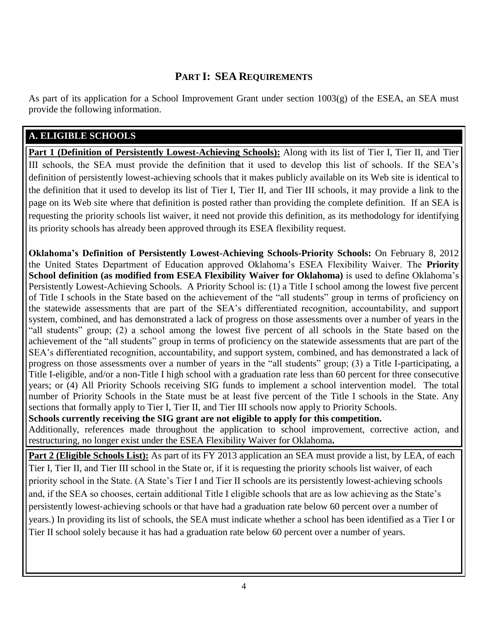# **PART I: SEA REQUIREMENTS**

As part of its application for a School Improvement Grant under section  $1003(g)$  of the ESEA, an SEA must provide the following information.

## **A. ELIGIBLE SCHOOLS**

**Part 1 (Definition of Persistently Lowest-Achieving Schools):** Along with its list of Tier I, Tier II, and Tier III schools, the SEA must provide the definition that it used to develop this list of schools. If the SEA's definition of persistently lowest-achieving schools that it makes publicly available on its Web site is identical to the definition that it used to develop its list of Tier I, Tier II, and Tier III schools, it may provide a link to the page on its Web site where that definition is posted rather than providing the complete definition. If an SEA is requesting the priority schools list waiver, it need not provide this definition, as its methodology for identifying its priority schools has already been approved through its ESEA flexibility request.

**Oklahoma's Definition of Persistently Lowest-Achieving Schools-Priority Schools:** On February 8, 2012 the United States Department of Education approved Oklahoma's ESEA Flexibility Waiver. The **Priority School definition (as modified from ESEA Flexibility Waiver for Oklahoma)** is used to define Oklahoma's Persistently Lowest-Achieving Schools. A Priority School is: (1) a Title I school among the lowest five percent of Title I schools in the State based on the achievement of the "all students" group in terms of proficiency on the statewide assessments that are part of the SEA's differentiated recognition, accountability, and support system, combined, and has demonstrated a lack of progress on those assessments over a number of years in the "all students" group; (2) a school among the lowest five percent of all schools in the State based on the achievement of the "all students" group in terms of proficiency on the statewide assessments that are part of the SEA's differentiated recognition, accountability, and support system, combined, and has demonstrated a lack of progress on those assessments over a number of years in the "all students" group; (3) a Title I-participating, a Title I-eligible, and/or a non-Title I high school with a graduation rate less than 60 percent for three consecutive years; or (4) All Priority Schools receiving SIG funds to implement a school intervention model. The total number of Priority Schools in the State must be at least five percent of the Title I schools in the State. Any sections that formally apply to Tier I, Tier II, and Tier III schools now apply to Priority Schools.

**Schools currently receiving the SIG grant are not eligible to apply for this competition.** Additionally, references made throughout the application to school improvement, corrective action, and

restructuring, no longer exist under the ESEA Flexibility Waiver for Oklahoma**.**

**Part 2 (Eligible Schools List):** As part of its FY 2013 application an SEA must provide a list, by LEA, of each Tier I, Tier II, and Tier III school in the State or, if it is requesting the priority schools list waiver, of each priority school in the State. (A State's Tier I and Tier II schools are its persistently lowest-achieving schools and, if the SEA so chooses, certain additional Title I eligible schools that are as low achieving as the State's persistently lowest‐achieving schools or that have had a graduation rate below 60 percent over a number of years.) In providing its list of schools, the SEA must indicate whether a school has been identified as a Tier I or Tier II school solely because it has had a graduation rate below 60 percent over a number of years.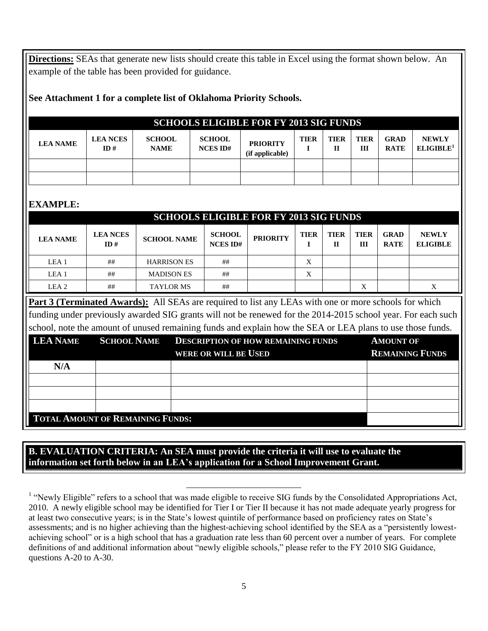**Directions:** SEAs that generate new lists should create this table in Excel using the format shown below. An example of the table has been provided for guidance.

|  |  |  | See Attachment 1 for a complete list of Oklahoma Priority Schools. |
|--|--|--|--------------------------------------------------------------------|
|--|--|--|--------------------------------------------------------------------|

|             |               |        | <b>SCHOOLS ELIGIBLE FOR FY 2013 SIG FUNDS</b> |  |  |
|-------------|---------------|--------|-----------------------------------------------|--|--|
| <b>NCES</b> | <b>SCHOOL</b> | SCHOOL |                                               |  |  |

| <b>LEA NAME</b> | <b>LEA NCES</b><br>ID# | <b>SCHOOL</b><br><b>NAME</b> | <b>SCHOOL</b><br><b>NCES ID#</b> | <b>PRIORITY</b><br>(if applicable) | <b>TIER</b> | <b>TIER</b> | TIER<br>Ш | GRAD<br><b>RATE</b> | <b>NEWLY</b><br>ELIGIBLE <sup>1</sup> |
|-----------------|------------------------|------------------------------|----------------------------------|------------------------------------|-------------|-------------|-----------|---------------------|---------------------------------------|
|                 |                        |                              |                                  |                                    |             |             |           |                     |                                       |
|                 |                        |                              |                                  |                                    |             |             |           |                     |                                       |

# **EXAMPLE:**

|                                                                                                              | <b>SCHOOLS ELIGIBLE FOR FY 2013 SIG FUNDS</b> |                                                                                                              |                                  |                 |             |                  |                    |                            |                                 |
|--------------------------------------------------------------------------------------------------------------|-----------------------------------------------|--------------------------------------------------------------------------------------------------------------|----------------------------------|-----------------|-------------|------------------|--------------------|----------------------------|---------------------------------|
| <b>LEA NAME</b>                                                                                              | <b>LEA NCES</b><br>ID#                        | <b>SCHOOL NAME</b>                                                                                           | <b>SCHOOL</b><br><b>NCES ID#</b> | <b>PRIORITY</b> | <b>TIER</b> | <b>TIER</b><br>П | <b>TIER</b><br>III | <b>GRAD</b><br><b>RATE</b> | <b>NEWLY</b><br><b>ELIGIBLE</b> |
| LEA <sub>1</sub>                                                                                             | ##                                            | <b>HARRISON ES</b>                                                                                           | ##                               |                 | X           |                  |                    |                            |                                 |
| LEA <sub>1</sub>                                                                                             | ##                                            | <b>MADISON ES</b>                                                                                            | ##                               |                 | X           |                  |                    |                            |                                 |
| LEA <sub>2</sub>                                                                                             | ##                                            | <b>TAYLOR MS</b>                                                                                             | ##                               |                 |             |                  | X                  |                            | X                               |
| <b>Part 3 (Terminated Awards):</b> All SEAs are required to list any LEAs with one or more schools for which |                                               |                                                                                                              |                                  |                 |             |                  |                    |                            |                                 |
|                                                                                                              |                                               | funding under previously awarded SIG grants will not be renewed for the 2014-2015 school year. For each such |                                  |                 |             |                  |                    |                            |                                 |

school, note the amount of unused remaining funds and explain how the SEA or LEA plans to use those funds.

| <b>LEA NAME</b>                         |  | <b>SCHOOL NAME DESCRIPTION OF HOW REMAINING FUNDS</b> | <b>AMOUNT OF</b>       |  |
|-----------------------------------------|--|-------------------------------------------------------|------------------------|--|
|                                         |  | <b>WERE OR WILL BE USED</b>                           | <b>REMAINING FUNDS</b> |  |
| N/A                                     |  |                                                       |                        |  |
|                                         |  |                                                       |                        |  |
|                                         |  |                                                       |                        |  |
|                                         |  |                                                       |                        |  |
| <b>TOTAL AMOUNT OF REMAINING FUNDS:</b> |  |                                                       |                        |  |

### **B. EVALUATION CRITERIA: An SEA must provide the criteria it will use to evaluate the information set forth below in an LEA's application for a School Improvement Grant.**

l <sup>1</sup> "Newly Eligible" refers to a school that was made eligible to receive SIG funds by the Consolidated Appropriations Act, 2010. A newly eligible school may be identified for Tier I or Tier II because it has not made adequate yearly progress for at least two consecutive years; is in the State's lowest quintile of performance based on proficiency rates on State's assessments; and is no higher achieving than the highest-achieving school identified by the SEA as a "persistently lowestachieving school" or is a high school that has a graduation rate less than 60 percent over a number of years. For complete definitions of and additional information about "newly eligible schools," please refer to the FY 2010 SIG Guidance, questions A-20 to A-30.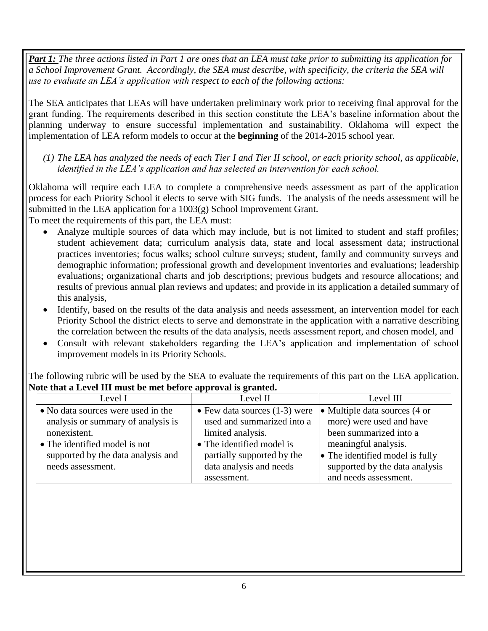*Part 1: The three actions listed in Part 1 are ones that an LEA must take prior to submitting its application for a School Improvement Grant. Accordingly, the SEA must describe, with specificity, the criteria the SEA will use to evaluate an LEA's application with respect to each of the following actions:* 

The SEA anticipates that LEAs will have undertaken preliminary work prior to receiving final approval for the grant funding. The requirements described in this section constitute the LEA's baseline information about the planning underway to ensure successful implementation and sustainability. Oklahoma will expect the implementation of LEA reform models to occur at the **beginning** of the 2014-2015 school year*.* 

### *(1) The LEA has analyzed the needs of each Tier I and Tier II school, or each priority school, as applicable, identified in the LEA's application and has selected an intervention for each school.*

Oklahoma will require each LEA to complete a comprehensive needs assessment as part of the application process for each Priority School it elects to serve with SIG funds. The analysis of the needs assessment will be submitted in the LEA application for a  $1003(g)$  School Improvement Grant.

To meet the requirements of this part, the LEA must:

- Analyze multiple sources of data which may include, but is not limited to student and staff profiles; student achievement data; curriculum analysis data, state and local assessment data; instructional practices inventories; focus walks; school culture surveys; student, family and community surveys and demographic information; professional growth and development inventories and evaluations; leadership evaluations; organizational charts and job descriptions; previous budgets and resource allocations; and results of previous annual plan reviews and updates; and provide in its application a detailed summary of this analysis,
- Identify, based on the results of the data analysis and needs assessment, an intervention model for each Priority School the district elects to serve and demonstrate in the application with a narrative describing the correlation between the results of the data analysis, needs assessment report, and chosen model, and
- Consult with relevant stakeholders regarding the LEA's application and implementation of school improvement models in its Priority Schools.

| Level I                                                                                                                   | Level II                                                                                                              | Level III                                                                                                   |
|---------------------------------------------------------------------------------------------------------------------------|-----------------------------------------------------------------------------------------------------------------------|-------------------------------------------------------------------------------------------------------------|
| • No data sources were used in the<br>analysis or summary of analysis is<br>nonexistent.<br>• The identified model is not | $\bullet$ Few data sources (1-3) were<br>used and summarized into a<br>limited analysis.<br>• The identified model is | • Multiple data sources (4 or<br>more) were used and have<br>been summarized into a<br>meaningful analysis. |
| supported by the data analysis and<br>needs assessment.                                                                   | partially supported by the<br>data analysis and needs<br>assessment.                                                  | $\bullet$ The identified model is fully<br>supported by the data analysis<br>and needs assessment.          |
|                                                                                                                           |                                                                                                                       |                                                                                                             |

The following rubric will be used by the SEA to evaluate the requirements of this part on the LEA application. **Note that a Level III must be met before approval is granted.**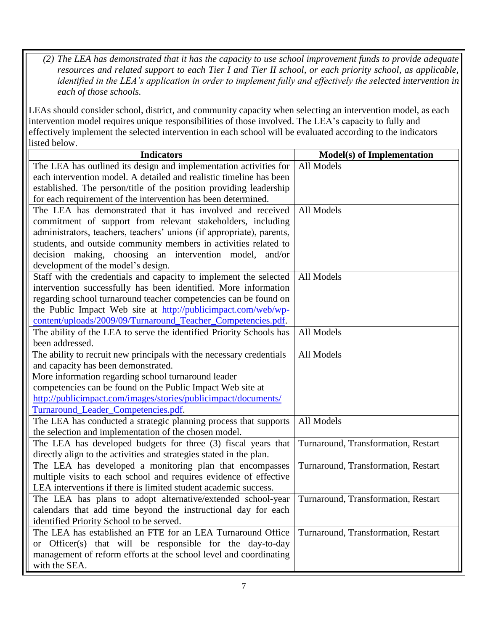*(2) The LEA has demonstrated that it has the capacity to use school improvement funds to provide adequate resources and related support to each Tier I and Tier II school, or each priority school, as applicable, identified in the LEA's application in order to implement fully and effectively the selected intervention in each of those schools.*

LEAs should consider school, district, and community capacity when selecting an intervention model, as each intervention model requires unique responsibilities of those involved. The LEA's capacity to fully and effectively implement the selected intervention in each school will be evaluated according to the indicators listed below.

| <b>Indicators</b>                                                     | <b>Model(s) of Implementation</b>   |
|-----------------------------------------------------------------------|-------------------------------------|
| The LEA has outlined its design and implementation activities for     | All Models                          |
| each intervention model. A detailed and realistic timeline has been   |                                     |
| established. The person/title of the position providing leadership    |                                     |
| for each requirement of the intervention has been determined.         |                                     |
| The LEA has demonstrated that it has involved and received            | All Models                          |
| commitment of support from relevant stakeholders, including           |                                     |
| administrators, teachers, teachers' unions (if appropriate), parents, |                                     |
| students, and outside community members in activities related to      |                                     |
| decision making, choosing an intervention model, and/or               |                                     |
| development of the model's design.                                    |                                     |
| Staff with the credentials and capacity to implement the selected     | All Models                          |
| intervention successfully has been identified. More information       |                                     |
| regarding school turnaround teacher competencies can be found on      |                                     |
| the Public Impact Web site at http://publicimpact.com/web/wp-         |                                     |
| content/uploads/2009/09/Turnaround_Teacher_Competencies.pdf.          |                                     |
| The ability of the LEA to serve the identified Priority Schools has   | All Models                          |
| been addressed.                                                       |                                     |
| The ability to recruit new principals with the necessary credentials  | All Models                          |
| and capacity has been demonstrated.                                   |                                     |
| More information regarding school turnaround leader                   |                                     |
| competencies can be found on the Public Impact Web site at            |                                     |
| http://publicimpact.com/images/stories/publicimpact/documents/        |                                     |
| Turnaround_Leader_Competencies.pdf.                                   |                                     |
| The LEA has conducted a strategic planning process that supports      | All Models                          |
| the selection and implementation of the chosen model.                 |                                     |
| The LEA has developed budgets for three (3) fiscal years that         | Turnaround, Transformation, Restart |
| directly align to the activities and strategies stated in the plan.   |                                     |
| The LEA has developed a monitoring plan that encompasses              | Turnaround, Transformation, Restart |
| multiple visits to each school and requires evidence of effective     |                                     |
| LEA interventions if there is limited student academic success.       |                                     |
| The LEA has plans to adopt alternative/extended school-year           | Turnaround, Transformation, Restart |
| calendars that add time beyond the instructional day for each         |                                     |
| identified Priority School to be served.                              |                                     |
| The LEA has established an FTE for an LEA Turnaround Office           | Turnaround, Transformation, Restart |
| or Officer(s) that will be responsible for the day-to-day             |                                     |
| management of reform efforts at the school level and coordinating     |                                     |
| with the SEA.                                                         |                                     |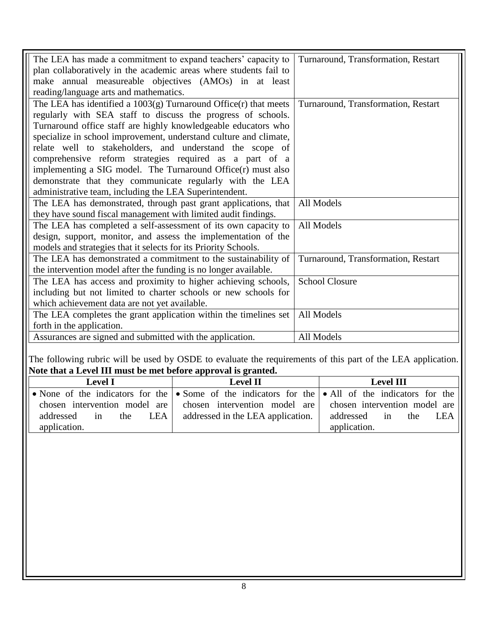| The LEA has made a commitment to expand teachers' capacity to         | Turnaround, Transformation, Restart |
|-----------------------------------------------------------------------|-------------------------------------|
| plan collaboratively in the academic areas where students fail to     |                                     |
| make annual measureable objectives (AMOs) in at least                 |                                     |
| reading/language arts and mathematics.                                |                                     |
| The LEA has identified a $1003(g)$ Turnaround Office $(r)$ that meets | Turnaround, Transformation, Restart |
| regularly with SEA staff to discuss the progress of schools.          |                                     |
| Turnaround office staff are highly knowledgeable educators who        |                                     |
| specialize in school improvement, understand culture and climate,     |                                     |
| relate well to stakeholders, and understand the scope of              |                                     |
| comprehensive reform strategies required as a part of a               |                                     |
| implementing a SIG model. The Turnaround Office $(r)$ must also       |                                     |
| demonstrate that they communicate regularly with the LEA              |                                     |
| administrative team, including the LEA Superintendent.                |                                     |
| The LEA has demonstrated, through past grant applications, that       | All Models                          |
| they have sound fiscal management with limited audit findings.        |                                     |
| The LEA has completed a self-assessment of its own capacity to        | All Models                          |
| design, support, monitor, and assess the implementation of the        |                                     |
| models and strategies that it selects for its Priority Schools.       |                                     |
| The LEA has demonstrated a commitment to the sustainability of        | Turnaround, Transformation, Restart |
| the intervention model after the funding is no longer available.      |                                     |
| The LEA has access and proximity to higher achieving schools,         | <b>School Closure</b>               |
| including but not limited to charter schools or new schools for       |                                     |
| which achievement data are not yet available.                         |                                     |
| The LEA completes the grant application within the timelines set      | All Models                          |
| forth in the application.                                             |                                     |
| Assurances are signed and submitted with the application.             | All Models                          |

The following rubric will be used by OSDE to evaluate the requirements of this part of the LEA application. **Note that a Level III must be met before approval is granted.**

| <b>Level I</b>                  | <b>Level II</b>                                                                                                   | <b>Level III</b>           |
|---------------------------------|-------------------------------------------------------------------------------------------------------------------|----------------------------|
|                                 | • None of the indicators for the $\bullet$ Some of the indicators for the $\bullet$ All of the indicators for the |                            |
|                                 | chosen intervention model are chosen intervention model are chosen intervention model are                         |                            |
| LEA  <br>addressed<br>the<br>1n | addressed in the LEA application.                                                                                 | addressed in<br>the<br>LEA |
| application.                    |                                                                                                                   | application.               |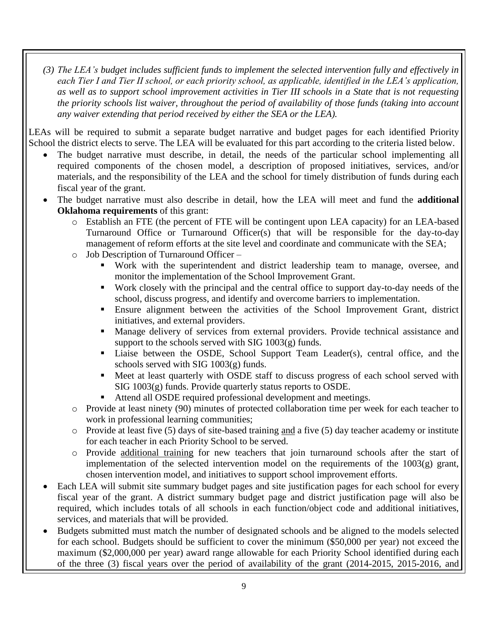*(3) The LEA's budget includes sufficient funds to implement the selected intervention fully and effectively in each Tier I and Tier II school, or each priority school, as applicable, identified in the LEA's application, as well as to support school improvement activities in Tier III schools in a State that is not requesting the priority schools list waiver, throughout the period of availability of those funds (taking into account any waiver extending that period received by either the SEA or the LEA).*

LEAs will be required to submit a separate budget narrative and budget pages for each identified Priority School the district elects to serve. The LEA will be evaluated for this part according to the criteria listed below.

- The budget narrative must describe, in detail, the needs of the particular school implementing all required components of the chosen model, a description of proposed initiatives, services, and/or materials, and the responsibility of the LEA and the school for timely distribution of funds during each fiscal year of the grant.
- The budget narrative must also describe in detail, how the LEA will meet and fund the **additional Oklahoma requirements** of this grant:
	- o Establish an FTE (the percent of FTE will be contingent upon LEA capacity) for an LEA-based Turnaround Office or Turnaround Officer(s) that will be responsible for the day-to-day management of reform efforts at the site level and coordinate and communicate with the SEA;
	- o Job Description of Turnaround Officer
		- Work with the superintendent and district leadership team to manage, oversee, and monitor the implementation of the School Improvement Grant.
		- Work closely with the principal and the central office to support day-to-day needs of the school, discuss progress, and identify and overcome barriers to implementation.
		- Ensure alignment between the activities of the School Improvement Grant, district initiatives, and external providers.
		- Manage delivery of services from external providers. Provide technical assistance and support to the schools served with  $SIG 1003(g)$  funds.
		- Liaise between the OSDE, School Support Team Leader(s), central office, and the schools served with SIG 1003(g) funds.
		- Meet at least quarterly with OSDE staff to discuss progress of each school served with SIG 1003(g) funds. Provide quarterly status reports to OSDE.
		- Attend all OSDE required professional development and meetings.
	- o Provide at least ninety (90) minutes of protected collaboration time per week for each teacher to work in professional learning communities;
	- o Provide at least five (5) days of site-based training and a five (5) day teacher academy or institute for each teacher in each Priority School to be served.
	- o Provide additional training for new teachers that join turnaround schools after the start of implementation of the selected intervention model on the requirements of the  $1003(g)$  grant, chosen intervention model, and initiatives to support school improvement efforts.
- Each LEA will submit site summary budget pages and site justification pages for each school for every fiscal year of the grant. A district summary budget page and district justification page will also be required, which includes totals of all schools in each function/object code and additional initiatives, services, and materials that will be provided.
- Budgets submitted must match the number of designated schools and be aligned to the models selected for each school. Budgets should be sufficient to cover the minimum (\$50,000 per year) not exceed the maximum (\$2,000,000 per year) award range allowable for each Priority School identified during each of the three (3) fiscal years over the period of availability of the grant (2014-2015, 2015-2016, and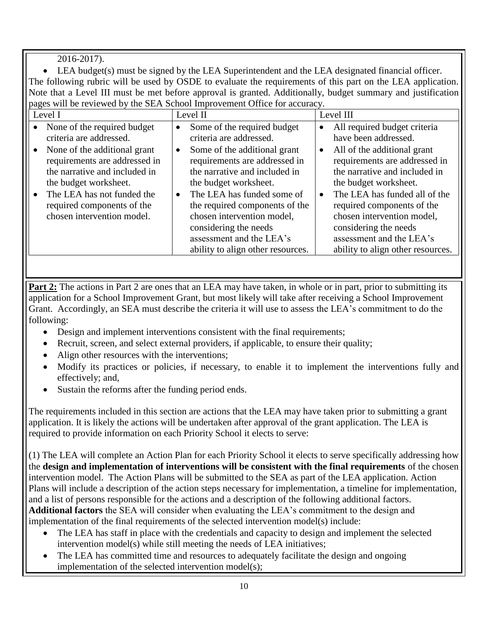2016-2017).

 LEA budget(s) must be signed by the LEA Superintendent and the LEA designated financial officer. The following rubric will be used by OSDE to evaluate the requirements of this part on the LEA application. Note that a Level III must be met before approval is granted. Additionally, budget summary and justification pages will be reviewed by the SEA School Improvement Office for accuracy.

| Level I                                                                                                                                                                                                           | Level II                                                                                                                                                                                                                                                                                                                     | Level III                                                                                                                                                                                                                                                                                                                  |
|-------------------------------------------------------------------------------------------------------------------------------------------------------------------------------------------------------------------|------------------------------------------------------------------------------------------------------------------------------------------------------------------------------------------------------------------------------------------------------------------------------------------------------------------------------|----------------------------------------------------------------------------------------------------------------------------------------------------------------------------------------------------------------------------------------------------------------------------------------------------------------------------|
| None of the required budget<br>$\bullet$<br>criteria are addressed.                                                                                                                                               | Some of the required budget<br>$\bullet$<br>criteria are addressed.                                                                                                                                                                                                                                                          | All required budget criteria<br>٠<br>have been addressed.                                                                                                                                                                                                                                                                  |
| None of the additional grant<br>requirements are addressed in<br>the narrative and included in<br>the budget worksheet.<br>The LEA has not funded the<br>required components of the<br>chosen intervention model. | Some of the additional grant<br>$\bullet$<br>requirements are addressed in<br>the narrative and included in<br>the budget worksheet.<br>The LEA has funded some of<br>the required components of the<br>chosen intervention model,<br>considering the needs<br>assessment and the LEA's<br>ability to align other resources. | All of the additional grant<br>requirements are addressed in<br>the narrative and included in<br>the budget worksheet.<br>The LEA has funded all of the<br>$\bullet$<br>required components of the<br>chosen intervention model,<br>considering the needs<br>assessment and the LEA's<br>ability to align other resources. |

**Part 2:** The actions in Part 2 are ones that an LEA may have taken, in whole or in part, prior to submitting its application for a School Improvement Grant, but most likely will take after receiving a School Improvement Grant. Accordingly, an SEA must describe the criteria it will use to assess the LEA's commitment to do the following:

- Design and implement interventions consistent with the final requirements;
- Recruit, screen, and select external providers, if applicable, to ensure their quality;
- Align other resources with the interventions;
- Modify its practices or policies, if necessary, to enable it to implement the interventions fully and effectively; and,
- Sustain the reforms after the funding period ends.

The requirements included in this section are actions that the LEA may have taken prior to submitting a grant application. It is likely the actions will be undertaken after approval of the grant application. The LEA is required to provide information on each Priority School it elects to serve:

(1) The LEA will complete an Action Plan for each Priority School it elects to serve specifically addressing how the **design and implementation of interventions will be consistent with the final requirements** of the chosen intervention model. The Action Plans will be submitted to the SEA as part of the LEA application. Action Plans will include a description of the action steps necessary for implementation, a timeline for implementation, and a list of persons responsible for the actions and a description of the following additional factors. **Additional factors** the SEA will consider when evaluating the LEA's commitment to the design and implementation of the final requirements of the selected intervention model(s) include:

- The LEA has staff in place with the credentials and capacity to design and implement the selected intervention model(s) while still meeting the needs of LEA initiatives;
- The LEA has committed time and resources to adequately facilitate the design and ongoing implementation of the selected intervention model(s);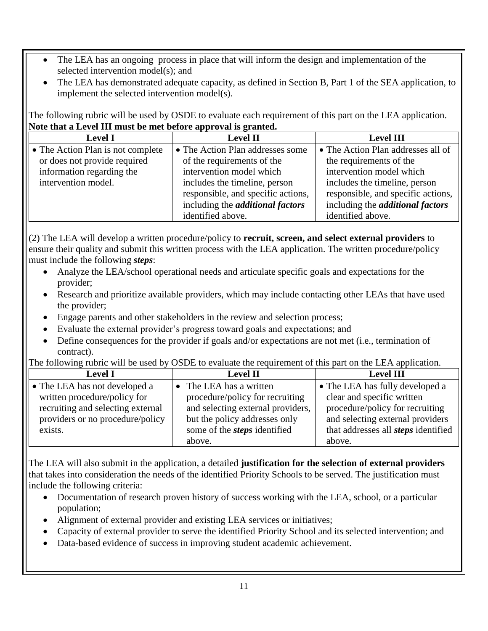- The LEA has an ongoing process in place that will inform the design and implementation of the selected intervention model(s); and
- The LEA has demonstrated adequate capacity, as defined in Section B, Part 1 of the SEA application, to implement the selected intervention model(s).

The following rubric will be used by OSDE to evaluate each requirement of this part on the LEA application. **Note that a Level III must be met before approval is granted.** 

| <b>Level I</b>                    | <b>Level II</b>                         | <b>Level III</b>                        |
|-----------------------------------|-----------------------------------------|-----------------------------------------|
| • The Action Plan is not complete | • The Action Plan addresses some        | • The Action Plan addresses all of      |
| or does not provide required      | of the requirements of the              | the requirements of the                 |
| information regarding the         | intervention model which                | intervention model which                |
| intervention model.               | includes the timeline, person           | includes the timeline, person           |
|                                   | responsible, and specific actions,      | responsible, and specific actions,      |
|                                   | including the <i>additional factors</i> | including the <i>additional factors</i> |
|                                   | identified above.                       | identified above.                       |

(2) The LEA will develop a written procedure/policy to **recruit, screen, and select external providers** to ensure their quality and submit this written process with the LEA application. The written procedure/policy must include the following *steps*:

- Analyze the LEA/school operational needs and articulate specific goals and expectations for the provider;
- Research and prioritize available providers, which may include contacting other LEAs that have used the provider;
- Engage parents and other stakeholders in the review and selection process;
- Evaluate the external provider's progress toward goals and expectations; and
- Define consequences for the provider if goals and/or expectations are not met (i.e., termination of contract).

The following rubric will be used by OSDE to evaluate the requirement of this part on the LEA application.

| <b>Level I</b><br><b>Level II</b>                               |                                     | <b>Level III</b>                           |
|-----------------------------------------------------------------|-------------------------------------|--------------------------------------------|
| $\bullet$ The LEA has not developed a                           | • The LEA has a written             | • The LEA has fully developed a            |
| written procedure/policy for<br>procedure/policy for recruiting |                                     | clear and specific written                 |
| recruiting and selecting external                               | and selecting external providers,   | procedure/policy for recruiting            |
| providers or no procedure/policy                                | but the policy addresses only       | and selecting external providers           |
| exists.                                                         | some of the <i>steps</i> identified | that addresses all <i>steps</i> identified |
|                                                                 | above.                              | above.                                     |

The LEA will also submit in the application, a detailed **justification for the selection of external providers** that takes into consideration the needs of the identified Priority Schools to be served. The justification must include the following criteria:

- Documentation of research proven history of success working with the LEA, school, or a particular population;
- Alignment of external provider and existing LEA services or initiatives;
- Capacity of external provider to serve the identified Priority School and its selected intervention; and
- Data-based evidence of success in improving student academic achievement.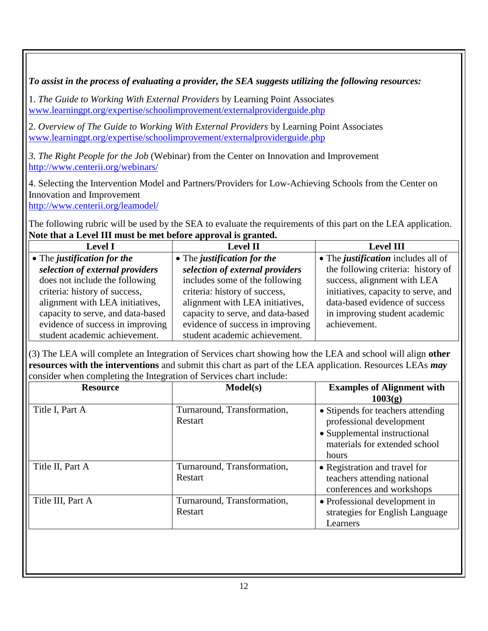# *To assist in the process of evaluating a provider, the SEA suggests utilizing the following resources:*

1. *The Guide to Working With External Providers* by Learning Point Associates [www.learningpt.org/expertise/schoolimprovement/externalproviderguide.php](file:///C:/Users/178388/Desktop/FY2014/SIG/www.learningpt.org/expertise/schoolimprovement/externalproviderguide.php)

2. *Overview of The Guide to Working With External Providers* by Learning Point Associates [www.learningpt.org/expertise/schoolimprovement/externalproviderguide.php](file:///C:/Users/178388/Desktop/FY2014/SIG/www.learningpt.org/expertise/schoolimprovement/externalproviderguide.php)

*3. The Right People for the Job* (Webinar) from the Center on Innovation and Improvement <http://www.centerii.org/webinars/>

4. Selecting the Intervention Model and Partners/Providers for Low-Achieving Schools from the Center on Innovation and Improvement

<http://www.centerii.org/leamodel/>

The following rubric will be used by the SEA to evaluate the requirements of this part on the LEA application. **Note that a Level III must be met before approval is granted.** 

| <b>Level I</b>                    | <b>Level II</b>                   | <b>Level III</b>                           |  |  |  |  |  |
|-----------------------------------|-----------------------------------|--------------------------------------------|--|--|--|--|--|
| • The justification for the       | • The justification for the       | • The <i>justification</i> includes all of |  |  |  |  |  |
| selection of external providers   | selection of external providers   | the following criteria: history of         |  |  |  |  |  |
| does not include the following    | includes some of the following    | success, alignment with LEA                |  |  |  |  |  |
| criteria: history of success,     | criteria: history of success,     | initiatives, capacity to serve, and        |  |  |  |  |  |
| alignment with LEA initiatives,   | alignment with LEA initiatives,   | data-based evidence of success             |  |  |  |  |  |
| capacity to serve, and data-based | capacity to serve, and data-based | in improving student academic              |  |  |  |  |  |
| evidence of success in improving  | evidence of success in improving  | achievement.                               |  |  |  |  |  |
| student academic achievement.     | student academic achievement.     |                                            |  |  |  |  |  |

(3) The LEA will complete an Integration of Services chart showing how the LEA and school will align **other resources with the interventions** and submit this chart as part of the LEA application. Resources LEAs *may* consider when completing the Integration of Services chart include:

| <b>Resource</b>   | Model(s)                               | <b>Examples of Alignment with</b><br>1003(g)                                                                                            |
|-------------------|----------------------------------------|-----------------------------------------------------------------------------------------------------------------------------------------|
| Title I, Part A   | Turnaround, Transformation,<br>Restart | • Stipends for teachers attending<br>professional development<br>• Supplemental instructional<br>materials for extended school<br>hours |
| Title II, Part A  | Turnaround, Transformation,<br>Restart | • Registration and travel for<br>teachers attending national<br>conferences and workshops                                               |
| Title III, Part A | Turnaround, Transformation,<br>Restart | • Professional development in<br>strategies for English Language<br>Learners                                                            |
|                   |                                        |                                                                                                                                         |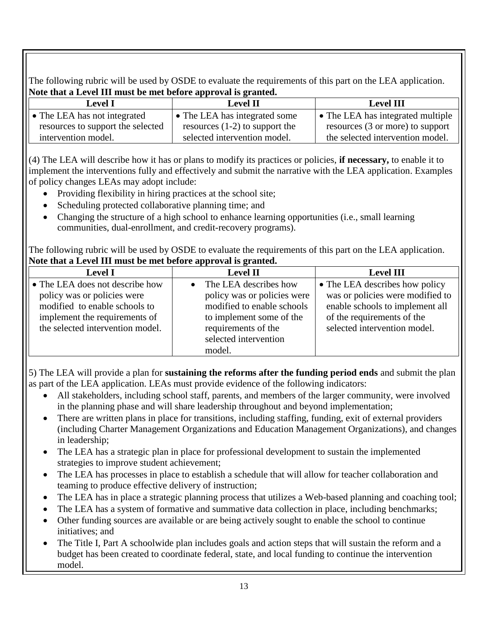The following rubric will be used by OSDE to evaluate the requirements of this part on the LEA application. **Note that a Level III must be met before approval is granted.**

| <b>Level I</b>                    | <b>Level II</b>                  | <b>Level III</b>                  |  |
|-----------------------------------|----------------------------------|-----------------------------------|--|
| • The LEA has not integrated      | • The LEA has integrated some    | • The LEA has integrated multiple |  |
| resources to support the selected | resources $(1-2)$ to support the | resources (3 or more) to support  |  |
| intervention model.               | selected intervention model.     | the selected intervention model.  |  |

(4) The LEA will describe how it has or plans to modify its practices or policies, **if necessary,** to enable it to implement the interventions fully and effectively and submit the narrative with the LEA application. Examples of policy changes LEAs may adopt include:

- Providing flexibility in hiring practices at the school site;
- Scheduling protected collaborative planning time; and
- Changing the structure of a high school to enhance learning opportunities (i.e., small learning communities, dual-enrollment, and credit-recovery programs).

The following rubric will be used by OSDE to evaluate the requirements of this part on the LEA application. **Note that a Level III must be met before approval is granted.**

| <b>Level I</b>                                                                                                                                                       | <b>Level II</b>                                                                                                                                                          | <b>Level III</b>                                                                                                                                                    |  |
|----------------------------------------------------------------------------------------------------------------------------------------------------------------------|--------------------------------------------------------------------------------------------------------------------------------------------------------------------------|---------------------------------------------------------------------------------------------------------------------------------------------------------------------|--|
| • The LEA does not describe how<br>policy was or policies were<br>modified to enable schools to<br>implement the requirements of<br>the selected intervention model. | The LEA describes how<br>policy was or policies were<br>modified to enable schools<br>to implement some of the<br>requirements of the<br>selected intervention<br>model. | • The LEA describes how policy<br>was or policies were modified to<br>enable schools to implement all<br>of the requirements of the<br>selected intervention model. |  |

5) The LEA will provide a plan for **sustaining the reforms after the funding period ends** and submit the plan as part of the LEA application. LEAs must provide evidence of the following indicators:

- All stakeholders, including school staff, parents, and members of the larger community, were involved in the planning phase and will share leadership throughout and beyond implementation;
- There are written plans in place for transitions, including staffing, funding, exit of external providers (including Charter Management Organizations and Education Management Organizations), and changes in leadership;
- The LEA has a strategic plan in place for professional development to sustain the implemented strategies to improve student achievement;
- The LEA has processes in place to establish a schedule that will allow for teacher collaboration and teaming to produce effective delivery of instruction;
- The LEA has in place a strategic planning process that utilizes a Web-based planning and coaching tool;
- The LEA has a system of formative and summative data collection in place, including benchmarks;
- Other funding sources are available or are being actively sought to enable the school to continue initiatives; and
- The Title I, Part A schoolwide plan includes goals and action steps that will sustain the reform and a budget has been created to coordinate federal, state, and local funding to continue the intervention model.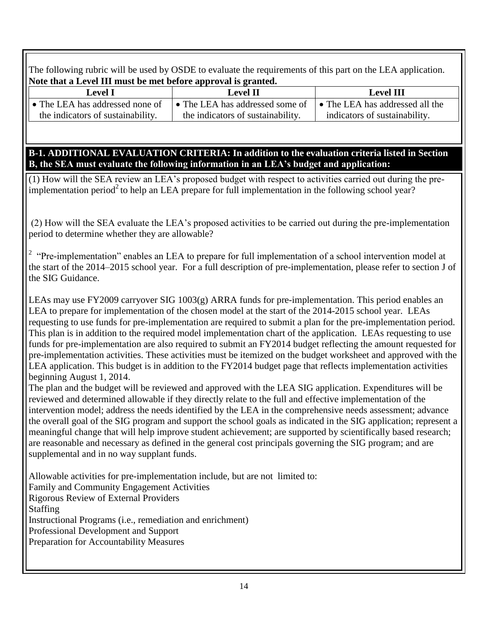The following rubric will be used by OSDE to evaluate the requirements of this part on the LEA application. **Note that a Level III must be met before approval is granted.**

| Level I<br>Level II                     |                                   | Level III                       |
|-----------------------------------------|-----------------------------------|---------------------------------|
| $\bullet$ The LEA has addressed none of | • The LEA has addressed some of   | • The LEA has addressed all the |
| the indicators of sustainability.       | the indicators of sustainability. | indicators of sustainability.   |

**B-1. ADDITIONAL EVALUATION CRITERIA: In addition to the evaluation criteria listed in Section B, the SEA must evaluate the following information in an LEA's budget and application:**

(1) How will the SEA review an LEA's proposed budget with respect to activities carried out during the preimplementation period<sup>2</sup> to help an LEA prepare for full implementation in the following school year?

(2) How will the SEA evaluate the LEA's proposed activities to be carried out during the pre-implementation period to determine whether they are allowable?

<sup>2</sup> "Pre-implementation" enables an LEA to prepare for full implementation of a school intervention model at the start of the 2014–2015 school year. For a full description of pre-implementation, please refer to section J of the SIG Guidance.

LEAs may use FY2009 carryover SIG 1003(g) ARRA funds for pre-implementation. This period enables an LEA to prepare for implementation of the chosen model at the start of the 2014-2015 school year. LEAs requesting to use funds for pre-implementation are required to submit a plan for the pre-implementation period. This plan is in addition to the required model implementation chart of the application. LEAs requesting to use funds for pre-implementation are also required to submit an FY2014 budget reflecting the amount requested for pre-implementation activities. These activities must be itemized on the budget worksheet and approved with the LEA application. This budget is in addition to the FY2014 budget page that reflects implementation activities beginning August 1, 2014.

The plan and the budget will be reviewed and approved with the LEA SIG application. Expenditures will be reviewed and determined allowable if they directly relate to the full and effective implementation of the intervention model; address the needs identified by the LEA in the comprehensive needs assessment; advance the overall goal of the SIG program and support the school goals as indicated in the SIG application; represent a meaningful change that will help improve student achievement; are supported by scientifically based research; are reasonable and necessary as defined in the general cost principals governing the SIG program; and are supplemental and in no way supplant funds.

Allowable activities for pre-implementation include, but are not limited to: Family and Community Engagement Activities Rigorous Review of External Providers Staffing Instructional Programs (i.e., remediation and enrichment) Professional Development and Support Preparation for Accountability Measures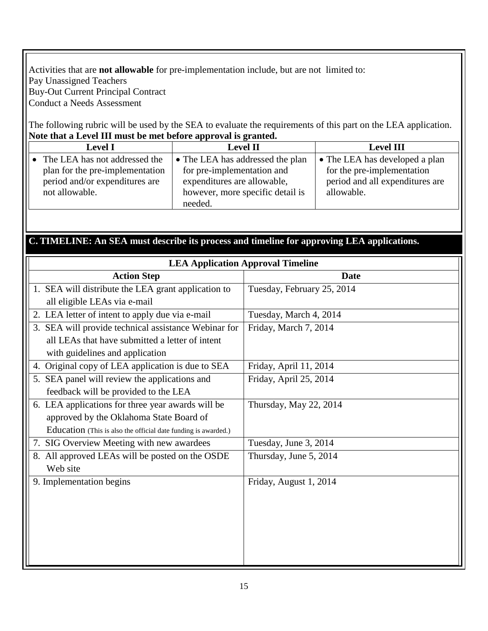#### Activities that are **not allowable** for pre-implementation include, but are not limited to: Pay Unassigned Teachers Buy-Out Current Principal Contract Conduct a Needs Assessment

The following rubric will be used by the SEA to evaluate the requirements of this part on the LEA application. **Note that a Level III must be met before approval is granted.** 

| <b>Level I</b>                 |                                 | <b>Level II</b>                  | <b>Level III</b>                |  |
|--------------------------------|---------------------------------|----------------------------------|---------------------------------|--|
|                                | • The LEA has not addressed the | • The LEA has addressed the plan | • The LEA has developed a plan  |  |
|                                | plan for the pre-implementation | for pre-implementation and       | for the pre-implementation      |  |
| period and/or expenditures are |                                 | expenditures are allowable,      | period and all expenditures are |  |
|                                | not allowable.                  | however, more specific detail is | allowable.                      |  |
|                                |                                 | needed.                          |                                 |  |

## **C. TIMELINE: An SEA must describe its process and timeline for approving LEA applications.**

| <b>LEA Application Approval Timeline</b>                       |                            |  |  |  |  |
|----------------------------------------------------------------|----------------------------|--|--|--|--|
| <b>Action Step</b>                                             | <b>Date</b>                |  |  |  |  |
| 1. SEA will distribute the LEA grant application to            | Tuesday, February 25, 2014 |  |  |  |  |
| all eligible LEAs via e-mail                                   |                            |  |  |  |  |
| 2. LEA letter of intent to apply due via e-mail                | Tuesday, March 4, 2014     |  |  |  |  |
| 3. SEA will provide technical assistance Webinar for           | Friday, March 7, 2014      |  |  |  |  |
| all LEAs that have submitted a letter of intent                |                            |  |  |  |  |
| with guidelines and application                                |                            |  |  |  |  |
| 4. Original copy of LEA application is due to SEA              | Friday, April 11, 2014     |  |  |  |  |
| 5. SEA panel will review the applications and                  | Friday, April 25, 2014     |  |  |  |  |
| feedback will be provided to the LEA                           |                            |  |  |  |  |
| 6. LEA applications for three year awards will be              | Thursday, May 22, 2014     |  |  |  |  |
| approved by the Oklahoma State Board of                        |                            |  |  |  |  |
| Education (This is also the official date funding is awarded.) |                            |  |  |  |  |
| 7. SIG Overview Meeting with new awardees                      | Tuesday, June 3, 2014      |  |  |  |  |
| 8. All approved LEAs will be posted on the OSDE                | Thursday, June 5, 2014     |  |  |  |  |
| Web site                                                       |                            |  |  |  |  |
| 9. Implementation begins                                       | Friday, August 1, 2014     |  |  |  |  |
|                                                                |                            |  |  |  |  |
|                                                                |                            |  |  |  |  |
|                                                                |                            |  |  |  |  |
|                                                                |                            |  |  |  |  |
|                                                                |                            |  |  |  |  |
|                                                                |                            |  |  |  |  |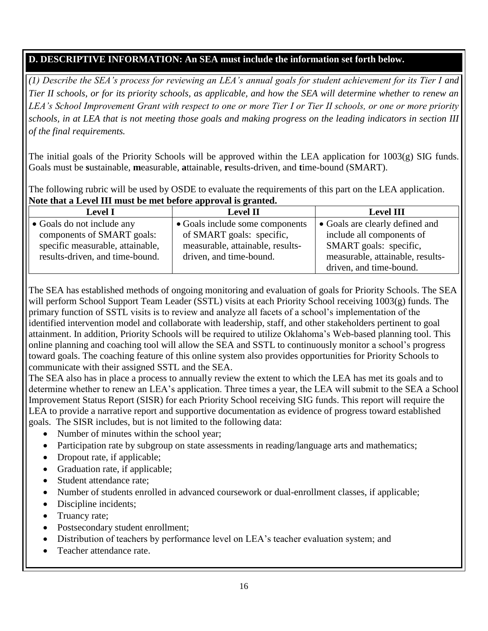# **D. DESCRIPTIVE INFORMATION: An SEA must include the information set forth below.**

*(1) Describe the SEA's process for reviewing an LEA's annual goals for student achievement for its Tier I and Tier II schools, or for its priority schools, as applicable, and how the SEA will determine whether to renew an LEA's School Improvement Grant with respect to one or more Tier I or Tier II schools, or one or more priority schools, in at LEA that is not meeting those goals and making progress on the leading indicators in section III of the final requirements.*

The initial goals of the Priority Schools will be approved within the LEA application for  $1003(g)$  SIG funds. Goals must be **s**ustainable, **m**easurable, **a**ttainable, **r**esults-driven, and **t**ime-bound (SMART).

The following rubric will be used by OSDE to evaluate the requirements of this part on the LEA application. **Note that a Level III must be met before approval is granted.**

| <b>Level I</b>                   | <b>Level II</b>                  | <b>Level III</b>                 |  |  |  |  |
|----------------------------------|----------------------------------|----------------------------------|--|--|--|--|
| • Goals do not include any       | • Goals include some components  | • Goals are clearly defined and  |  |  |  |  |
| components of SMART goals:       | of SMART goals: specific,        | include all components of        |  |  |  |  |
| specific measurable, attainable, | measurable, attainable, results- | SMART goals: specific,           |  |  |  |  |
| results-driven, and time-bound.  | driven, and time-bound.          | measurable, attainable, results- |  |  |  |  |
|                                  |                                  | driven, and time-bound.          |  |  |  |  |

The SEA has established methods of ongoing monitoring and evaluation of goals for Priority Schools. The SEA will perform School Support Team Leader (SSTL) visits at each Priority School receiving 1003(g) funds. The primary function of SSTL visits is to review and analyze all facets of a school's implementation of the identified intervention model and collaborate with leadership, staff, and other stakeholders pertinent to goal attainment. In addition, Priority Schools will be required to utilize Oklahoma's Web-based planning tool. This online planning and coaching tool will allow the SEA and SSTL to continuously monitor a school's progress toward goals. The coaching feature of this online system also provides opportunities for Priority Schools to communicate with their assigned SSTL and the SEA.

The SEA also has in place a process to annually review the extent to which the LEA has met its goals and to determine whether to renew an LEA's application. Three times a year, the LEA will submit to the SEA a School Improvement Status Report (SISR) for each Priority School receiving SIG funds. This report will require the LEA to provide a narrative report and supportive documentation as evidence of progress toward established goals. The SISR includes, but is not limited to the following data:

- Number of minutes within the school year;
- Participation rate by subgroup on state assessments in reading/language arts and mathematics;
- Dropout rate, if applicable;
- Graduation rate, if applicable;
- Student attendance rate;
- Number of students enrolled in advanced coursework or dual-enrollment classes, if applicable;
- Discipline incidents;
- Truancy rate;
- Postsecondary student enrollment;
- Distribution of teachers by performance level on LEA's teacher evaluation system; and
- Teacher attendance rate.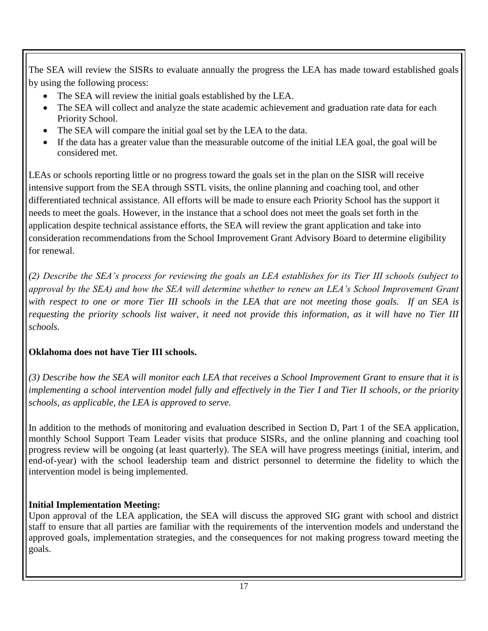The SEA will review the SISRs to evaluate annually the progress the LEA has made toward established goals by using the following process:

- The SEA will review the initial goals established by the LEA.
- The SEA will collect and analyze the state academic achievement and graduation rate data for each Priority School.
- The SEA will compare the initial goal set by the LEA to the data.
- If the data has a greater value than the measurable outcome of the initial LEA goal, the goal will be considered met.

LEAs or schools reporting little or no progress toward the goals set in the plan on the SISR will receive intensive support from the SEA through SSTL visits, the online planning and coaching tool, and other differentiated technical assistance. All efforts will be made to ensure each Priority School has the support it needs to meet the goals. However, in the instance that a school does not meet the goals set forth in the application despite technical assistance efforts, the SEA will review the grant application and take into consideration recommendations from the School Improvement Grant Advisory Board to determine eligibility for renewal.

*(2) Describe the SEA's process for reviewing the goals an LEA establishes for its Tier III schools (subject to approval by the SEA) and how the SEA will determine whether to renew an LEA's School Improvement Grant with respect to one or more Tier III schools in the LEA that are not meeting those goals. If an SEA is requesting the priority schools list waiver, it need not provide this information, as it will have no Tier III schools.*

# **Oklahoma does not have Tier III schools.**

*(3) Describe how the SEA will monitor each LEA that receives a School Improvement Grant to ensure that it is implementing a school intervention model fully and effectively in the Tier I and Tier II schools, or the priority schools, as applicable, the LEA is approved to serve.*

In addition to the methods of monitoring and evaluation described in Section D, Part 1 of the SEA application, monthly School Support Team Leader visits that produce SISRs, and the online planning and coaching tool progress review will be ongoing (at least quarterly). The SEA will have progress meetings (initial, interim, and end-of-year) with the school leadership team and district personnel to determine the fidelity to which the intervention model is being implemented.

# **Initial Implementation Meeting:**

Upon approval of the LEA application, the SEA will discuss the approved SIG grant with school and district staff to ensure that all parties are familiar with the requirements of the intervention models and understand the approved goals, implementation strategies, and the consequences for not making progress toward meeting the goals.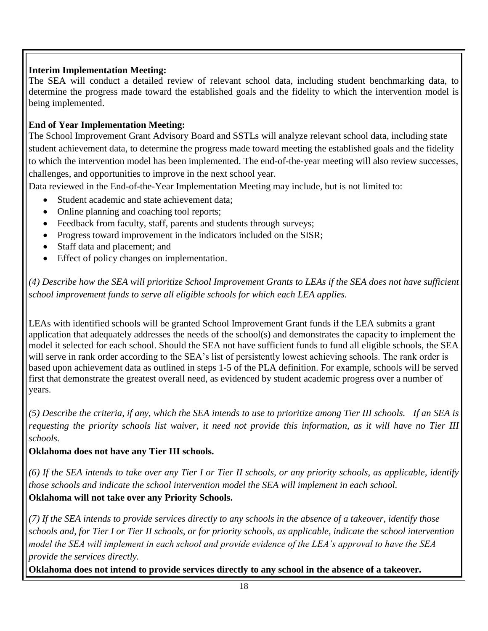## **Interim Implementation Meeting:**

The SEA will conduct a detailed review of relevant school data, including student benchmarking data, to determine the progress made toward the established goals and the fidelity to which the intervention model is being implemented.

## **End of Year Implementation Meeting:**

The School Improvement Grant Advisory Board and SSTLs will analyze relevant school data, including state student achievement data, to determine the progress made toward meeting the established goals and the fidelity to which the intervention model has been implemented. The end-of-the-year meeting will also review successes, challenges, and opportunities to improve in the next school year.

Data reviewed in the End-of-the-Year Implementation Meeting may include, but is not limited to:

- Student academic and state achievement data;
- Online planning and coaching tool reports;
- Feedback from faculty, staff, parents and students through surveys;
- Progress toward improvement in the indicators included on the SISR;
- Staff data and placement; and
- Effect of policy changes on implementation.

*(4) Describe how the SEA will prioritize School Improvement Grants to LEAs if the SEA does not have sufficient school improvement funds to serve all eligible schools for which each LEA applies.*

LEAs with identified schools will be granted School Improvement Grant funds if the LEA submits a grant application that adequately addresses the needs of the school(s) and demonstrates the capacity to implement the model it selected for each school. Should the SEA not have sufficient funds to fund all eligible schools, the SEA will serve in rank order according to the SEA's list of persistently lowest achieving schools. The rank order is based upon achievement data as outlined in steps 1-5 of the PLA definition. For example, schools will be served first that demonstrate the greatest overall need, as evidenced by student academic progress over a number of years.

*(5) Describe the criteria, if any, which the SEA intends to use to prioritize among Tier III schools. If an SEA is requesting the priority schools list waiver, it need not provide this information, as it will have no Tier III schools.* 

# **Oklahoma does not have any Tier III schools.**

*(6) If the SEA intends to take over any Tier I or Tier II schools, or any priority schools, as applicable, identify those schools and indicate the school intervention model the SEA will implement in each school.* **Oklahoma will not take over any Priority Schools.**

*(7) If the SEA intends to provide services directly to any schools in the absence of a takeover, identify those schools and, for Tier I or Tier II schools, or for priority schools, as applicable, indicate the school intervention model the SEA will implement in each school and provide evidence of the LEA's approval to have the SEA provide the services directly.*

**Oklahoma does not intend to provide services directly to any school in the absence of a takeover.**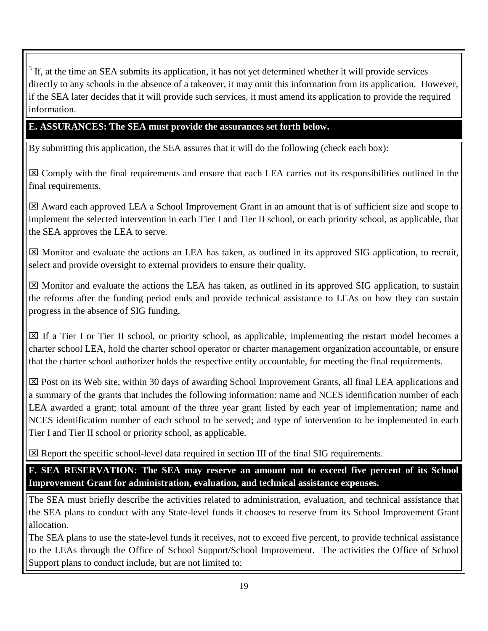$3$  If, at the time an SEA submits its application, it has not yet determined whether it will provide services directly to any schools in the absence of a takeover, it may omit this information from its application. However, if the SEA later decides that it will provide such services, it must amend its application to provide the required information.

## **E. ASSURANCES: The SEA must provide the assurances set forth below.**

By submitting this application, the SEA assures that it will do the following (check each box):

 Comply with the final requirements and ensure that each LEA carries out its responsibilities outlined in the final requirements.

 Award each approved LEA a School Improvement Grant in an amount that is of sufficient size and scope to implement the selected intervention in each Tier I and Tier II school, or each priority school, as applicable, that the SEA approves the LEA to serve.

 Monitor and evaluate the actions an LEA has taken, as outlined in its approved SIG application, to recruit, select and provide oversight to external providers to ensure their quality.

 $\boxtimes$  Monitor and evaluate the actions the LEA has taken, as outlined in its approved SIG application, to sustain the reforms after the funding period ends and provide technical assistance to LEAs on how they can sustain progress in the absence of SIG funding.

 $\boxtimes$  If a Tier I or Tier II school, or priority school, as applicable, implementing the restart model becomes a charter school LEA, hold the charter school operator or charter management organization accountable, or ensure that the charter school authorizer holds the respective entity accountable, for meeting the final requirements.

 $\boxtimes$  Post on its Web site, within 30 days of awarding School Improvement Grants, all final LEA applications and a summary of the grants that includes the following information: name and NCES identification number of each LEA awarded a grant; total amount of the three year grant listed by each year of implementation; name and NCES identification number of each school to be served; and type of intervention to be implemented in each Tier I and Tier II school or priority school, as applicable.

 $\boxtimes$  Report the specific school-level data required in section III of the final SIG requirements.

**F. SEA RESERVATION: The SEA may reserve an amount not to exceed five percent of its School Improvement Grant for administration, evaluation, and technical assistance expenses.**

The SEA must briefly describe the activities related to administration, evaluation, and technical assistance that the SEA plans to conduct with any State-level funds it chooses to reserve from its School Improvement Grant allocation.

The SEA plans to use the state-level funds it receives, not to exceed five percent, to provide technical assistance to the LEAs through the Office of School Support/School Improvement. The activities the Office of School Support plans to conduct include, but are not limited to: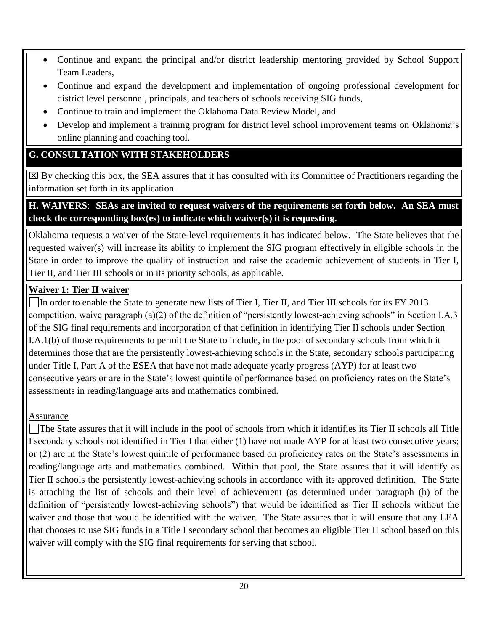- Continue and expand the principal and/or district leadership mentoring provided by School Support Team Leaders,
- Continue and expand the development and implementation of ongoing professional development for district level personnel, principals, and teachers of schools receiving SIG funds,
- Continue to train and implement the Oklahoma Data Review Model, and
- Develop and implement a training program for district level school improvement teams on Oklahoma's online planning and coaching tool.

# **G. CONSULTATION WITH STAKEHOLDERS**

 $\boxtimes$  By checking this box, the SEA assures that it has consulted with its Committee of Practitioners regarding the information set forth in its application.

# **H. WAIVERS**: **SEAs are invited to request waivers of the requirements set forth below. An SEA must check the corresponding box(es) to indicate which waiver(s) it is requesting.**

Oklahoma requests a waiver of the State-level requirements it has indicated below. The State believes that the requested waiver(s) will increase its ability to implement the SIG program effectively in eligible schools in the State in order to improve the quality of instruction and raise the academic achievement of students in Tier I, Tier II, and Tier III schools or in its priority schools, as applicable.

# **Waiver 1: Tier II waiver**

 $\Box$ In order to enable the State to generate new lists of Tier I, Tier II, and Tier III schools for its FY 2013 competition, waive paragraph (a)(2) of the definition of "persistently lowest-achieving schools" in Section I.A.3 of the SIG final requirements and incorporation of that definition in identifying Tier II schools under Section I.A.1(b) of those requirements to permit the State to include, in the pool of secondary schools from which it determines those that are the persistently lowest-achieving schools in the State, secondary schools participating under Title I, Part A of the ESEA that have not made adequate yearly progress (AYP) for at least two consecutive years or are in the State's lowest quintile of performance based on proficiency rates on the State's assessments in reading/language arts and mathematics combined.

Assurance

The State assures that it will include in the pool of schools from which it identifies its Tier II schools all Title I secondary schools not identified in Tier I that either (1) have not made AYP for at least two consecutive years; or (2) are in the State's lowest quintile of performance based on proficiency rates on the State's assessments in reading/language arts and mathematics combined. Within that pool, the State assures that it will identify as Tier II schools the persistently lowest-achieving schools in accordance with its approved definition. The State is attaching the list of schools and their level of achievement (as determined under paragraph (b) of the definition of "persistently lowest-achieving schools") that would be identified as Tier II schools without the waiver and those that would be identified with the waiver. The State assures that it will ensure that any LEA that chooses to use SIG funds in a Title I secondary school that becomes an eligible Tier II school based on this waiver will comply with the SIG final requirements for serving that school.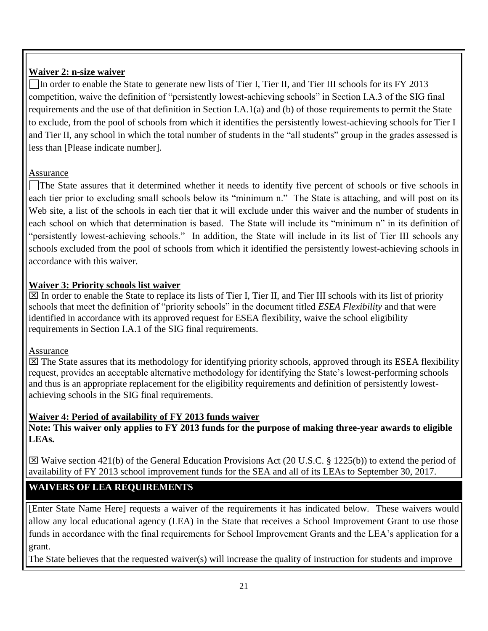## **Waiver 2: n-size waiver**

 $\Box$ In order to enable the State to generate new lists of Tier I, Tier II, and Tier III schools for its FY 2013 competition, waive the definition of "persistently lowest-achieving schools" in Section I.A.3 of the SIG final requirements and the use of that definition in Section I.A.1(a) and (b) of those requirements to permit the State to exclude, from the pool of schools from which it identifies the persistently lowest-achieving schools for Tier I and Tier II, any school in which the total number of students in the "all students" group in the grades assessed is less than [Please indicate number].

### Assurance

The State assures that it determined whether it needs to identify five percent of schools or five schools in each tier prior to excluding small schools below its "minimum n." The State is attaching, and will post on its Web site, a list of the schools in each tier that it will exclude under this waiver and the number of students in each school on which that determination is based. The State will include its "minimum n" in its definition of "persistently lowest-achieving schools." In addition, the State will include in its list of Tier III schools any schools excluded from the pool of schools from which it identified the persistently lowest-achieving schools in accordance with this waiver.

### **Waiver 3: Priority schools list waiver**

 $\boxtimes$  In order to enable the State to replace its lists of Tier I, Tier II, and Tier III schools with its list of priority schools that meet the definition of "priority schools" in the document titled *ESEA Flexibility* and that were identified in accordance with its approved request for ESEA flexibility, waive the school eligibility requirements in Section I.A.1 of the SIG final requirements.

### Assurance

 $\boxtimes$  The State assures that its methodology for identifying priority schools, approved through its ESEA flexibility request, provides an acceptable alternative methodology for identifying the State's lowest-performing schools and thus is an appropriate replacement for the eligibility requirements and definition of persistently lowestachieving schools in the SIG final requirements.

### **Waiver 4: Period of availability of FY 2013 funds waiver**

**Note: This waiver only applies to FY 2013 funds for the purpose of making three-year awards to eligible LEAs.** 

 Waive section 421(b) of the General Education Provisions Act (20 U.S.C. § 1225(b)) to extend the period of availability of FY 2013 school improvement funds for the SEA and all of its LEAs to September 30, 2017.

# **WAIVERS OF LEA REQUIREMENTS**

[Enter State Name Here] requests a waiver of the requirements it has indicated below. These waivers would allow any local educational agency (LEA) in the State that receives a School Improvement Grant to use those funds in accordance with the final requirements for School Improvement Grants and the LEA's application for a grant.

The State believes that the requested waiver(s) will increase the quality of instruction for students and improve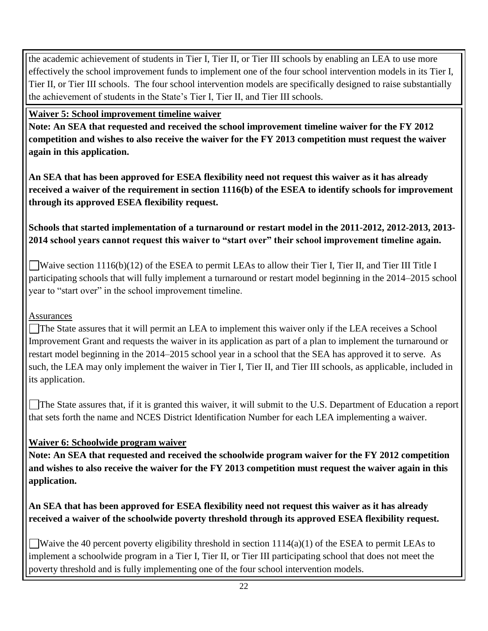the academic achievement of students in Tier I, Tier II, or Tier III schools by enabling an LEA to use more effectively the school improvement funds to implement one of the four school intervention models in its Tier I, Tier II, or Tier III schools. The four school intervention models are specifically designed to raise substantially the achievement of students in the State's Tier I, Tier II, and Tier III schools.

## **Waiver 5: School improvement timeline waiver**

**Note: An SEA that requested and received the school improvement timeline waiver for the FY 2012 competition and wishes to also receive the waiver for the FY 2013 competition must request the waiver again in this application.**

**An SEA that has been approved for ESEA flexibility need not request this waiver as it has already received a waiver of the requirement in section 1116(b) of the ESEA to identify schools for improvement through its approved ESEA flexibility request.**

# **Schools that started implementation of a turnaround or restart model in the 2011-2012, 2012-2013, 2013- 2014 school years cannot request this waiver to "start over" their school improvement timeline again.**

Waive section 1116(b)(12) of the ESEA to permit LEAs to allow their Tier I, Tier II, and Tier III Title I participating schools that will fully implement a turnaround or restart model beginning in the 2014–2015 school year to "start over" in the school improvement timeline.

# **Assurances**

The State assures that it will permit an LEA to implement this waiver only if the LEA receives a School Improvement Grant and requests the waiver in its application as part of a plan to implement the turnaround or restart model beginning in the 2014–2015 school year in a school that the SEA has approved it to serve. As such, the LEA may only implement the waiver in Tier I, Tier II, and Tier III schools, as applicable, included in its application.

The State assures that, if it is granted this waiver, it will submit to the U.S. Department of Education a report that sets forth the name and NCES District Identification Number for each LEA implementing a waiver.

# **Waiver 6: Schoolwide program waiver**

**Note: An SEA that requested and received the schoolwide program waiver for the FY 2012 competition and wishes to also receive the waiver for the FY 2013 competition must request the waiver again in this application.**

**An SEA that has been approved for ESEA flexibility need not request this waiver as it has already received a waiver of the schoolwide poverty threshold through its approved ESEA flexibility request.**

Waive the 40 percent poverty eligibility threshold in section  $1114(a)(1)$  of the ESEA to permit LEAs to implement a schoolwide program in a Tier I, Tier II, or Tier III participating school that does not meet the poverty threshold and is fully implementing one of the four school intervention models.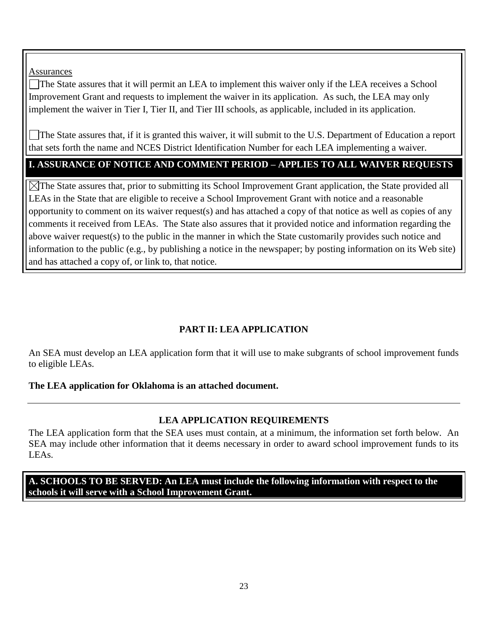**Assurances** 

The State assures that it will permit an LEA to implement this waiver only if the LEA receives a School Improvement Grant and requests to implement the waiver in its application. As such, the LEA may only implement the waiver in Tier I, Tier II, and Tier III schools, as applicable, included in its application.

The State assures that, if it is granted this waiver, it will submit to the U.S. Department of Education a report that sets forth the name and NCES District Identification Number for each LEA implementing a waiver.

#### **I. ASSURANCE OF NOTICE AND COMMENT PERIOD – APPLIES TO ALL WAIVER REQUESTS**

 $\boxtimes$ The State assures that, prior to submitting its School Improvement Grant application, the State provided all LEAs in the State that are eligible to receive a School Improvement Grant with notice and a reasonable opportunity to comment on its waiver request(s) and has attached a copy of that notice as well as copies of any comments it received from LEAs. The State also assures that it provided notice and information regarding the above waiver request(s) to the public in the manner in which the State customarily provides such notice and information to the public (e.g., by publishing a notice in the newspaper; by posting information on its Web site) and has attached a copy of, or link to, that notice.

### **PART II: LEA APPLICATION**

An SEA must develop an LEA application form that it will use to make subgrants of school improvement funds to eligible LEAs.

#### **The LEA application for Oklahoma is an attached document.**

### **LEA APPLICATION REQUIREMENTS**

The LEA application form that the SEA uses must contain, at a minimum, the information set forth below. An SEA may include other information that it deems necessary in order to award school improvement funds to its LEAs.

**A. SCHOOLS TO BE SERVED: An LEA must include the following information with respect to the schools it will serve with a School Improvement Grant.**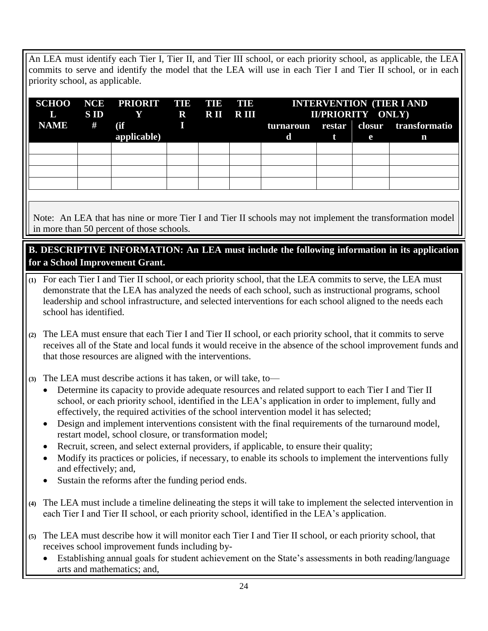An LEA must identify each Tier I, Tier II, and Tier III school, or each priority school, as applicable, the LEA commits to serve and identify the model that the LEA will use in each Tier I and Tier II school, or in each priority school, as applicable.

| L           | S ID | Y R RII RIII |  | SCHOO NCE PRIORIT TIE TIE TIE INTERVENTION (TIER I AND<br>II/PRIORITY ONLY) |  |   |                                       |
|-------------|------|--------------|--|-----------------------------------------------------------------------------|--|---|---------------------------------------|
| <b>NAME</b> | #    | (ii)         |  |                                                                             |  |   | turnaroun restar closur transformatio |
|             |      | applicable)  |  | d                                                                           |  | e | n                                     |
|             |      |              |  |                                                                             |  |   |                                       |
|             |      |              |  |                                                                             |  |   |                                       |
|             |      |              |  |                                                                             |  |   |                                       |
|             |      |              |  |                                                                             |  |   |                                       |

Note: An LEA that has nine or more Tier I and Tier II schools may not implement the transformation model in more than 50 percent of those schools.

## **B. DESCRIPTIVE INFORMATION: An LEA must include the following information in its application for a School Improvement Grant.**

- **(1)** For each Tier I and Tier II school, or each priority school, that the LEA commits to serve, the LEA must demonstrate that the LEA has analyzed the needs of each school, such as instructional programs, school leadership and school infrastructure, and selected interventions for each school aligned to the needs each school has identified.
- **(2)** The LEA must ensure that each Tier I and Tier II school, or each priority school, that it commits to serve receives all of the State and local funds it would receive in the absence of the school improvement funds and that those resources are aligned with the interventions.

**(3)** The LEA must describe actions it has taken, or will take, to—

- Determine its capacity to provide adequate resources and related support to each Tier I and Tier II school, or each priority school, identified in the LEA's application in order to implement, fully and effectively, the required activities of the school intervention model it has selected;
- Design and implement interventions consistent with the final requirements of the turnaround model, restart model, school closure, or transformation model;
- Recruit, screen, and select external providers, if applicable, to ensure their quality;
- Modify its practices or policies, if necessary, to enable its schools to implement the interventions fully and effectively; and,
- Sustain the reforms after the funding period ends.
- **(4)** The LEA must include a timeline delineating the steps it will take to implement the selected intervention in each Tier I and Tier II school, or each priority school, identified in the LEA's application.
- **(5)** The LEA must describe how it will monitor each Tier I and Tier II school, or each priority school, that receives school improvement funds including by-
	- Establishing annual goals for student achievement on the State's assessments in both reading/language arts and mathematics; and,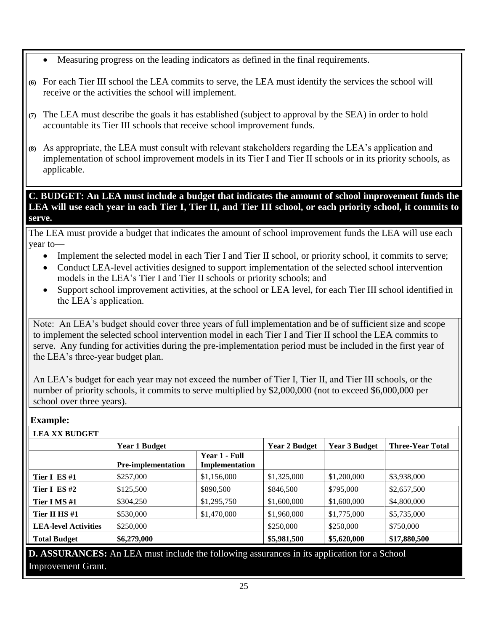- Measuring progress on the leading indicators as defined in the final requirements.
- **(6)** For each Tier III school the LEA commits to serve, the LEA must identify the services the school will receive or the activities the school will implement.
- **(7)** The LEA must describe the goals it has established (subject to approval by the SEA) in order to hold accountable its Tier III schools that receive school improvement funds.
- **(8)** As appropriate, the LEA must consult with relevant stakeholders regarding the LEA's application and implementation of school improvement models in its Tier I and Tier II schools or in its priority schools, as applicable.

**C. BUDGET: An LEA must include a budget that indicates the amount of school improvement funds the LEA will use each year in each Tier I, Tier II, and Tier III school, or each priority school, it commits to serve.**

The LEA must provide a budget that indicates the amount of school improvement funds the LEA will use each year to—

- Implement the selected model in each Tier I and Tier II school, or priority school, it commits to serve;
- Conduct LEA-level activities designed to support implementation of the selected school intervention models in the LEA's Tier I and Tier II schools or priority schools; and
- Support school improvement activities, at the school or LEA level, for each Tier III school identified in the LEA's application.

 $\mathbf 1$  $\mathbf{I}$ serve. Any funding for activities during the pre-implementation period must be included in the first year of

 $\mathbf{1}$ 

 $\mathbf 1$ 

the LEA's three-year budget plan.

Note: An LEA's budget should cover three years of full implementation and be of sufficient size and scope to implement the selected school intervention model in each Tier I and Tier II school the LEA commits to serve. Any funding for activities during the pre-implementation period must be included in the first year of the LEA's three-year budget plan.

An LEA's budget for each year may not exceed the number of Tier I, Tier II, and Tier III schools, or the number of priority schools, it commits to serve multiplied by \$2,000,000 (not to exceed \$6,000,000 per school over three years).

**Example:**

|                             | <b>Year 1 Budget</b>      |                                 | <b>Year 2 Budget</b> | <b>Year 3 Budget</b> | <b>Three-Year Total</b> |
|-----------------------------|---------------------------|---------------------------------|----------------------|----------------------|-------------------------|
|                             | <b>Pre-implementation</b> | Year 1 - Full<br>Implementation |                      |                      |                         |
| Tier I ES#1                 | \$257,000                 | \$1,156,000                     | \$1,325,000          | \$1,200,000          | \$3,938,000             |
| Tier I ES#2                 | \$125,500                 | \$890,500                       | \$846,500            | \$795,000            | \$2,657,500             |
| Tier I MS#1                 | \$304,250                 | \$1,295,750                     | \$1,600,000          | \$1,600,000          | \$4,800,000             |
| Tier II HS#1                | \$530,000                 | \$1,470,000                     | \$1,960,000          | \$1,775,000          | \$5,735,000             |
| <b>LEA-level Activities</b> | \$250,000                 |                                 | \$250,000            | \$250,000            | \$750,000               |
| <b>Total Budget</b>         | \$6,279,000               |                                 | \$5,981,500          | \$5,620,000          | \$17,880,500            |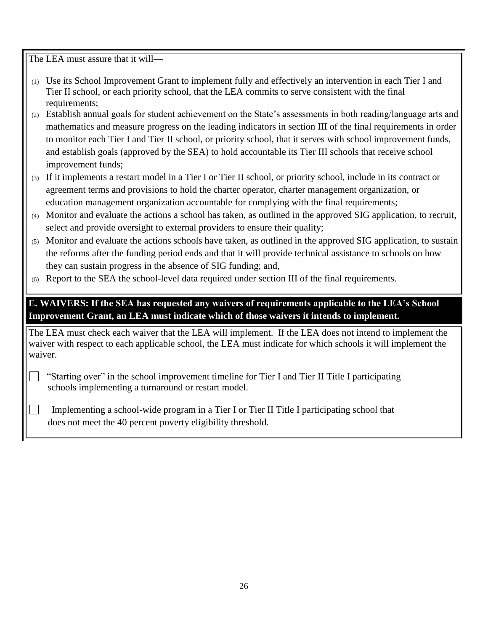The LEA must assure that it will-

 $\sim$ 

- (1) Use its School Improvement Grant to implement fully and effectively an intervention in each Tier I and Tier II school, or each priority school, that the LEA commits to serve consistent with the final requirements:
- (2) Establish annual goals for student achievement on the State's assessments in both reading/language arts and mathematics and measure progress on the leading indicators in section III of the final requirements in order to monitor each Tier I and Tier II school, or priority school, that it serves with school improvement funds, and establish goals (approved by the SEA) to hold accountable its Tier III schools that receive school improvement funds;
- (3) If it implements a restart model in a Tier I or Tier II school, or priority school, include in its contract or agreement terms and provisions to hold the charter operator, charter management organization, or education management organization accountable for complying with the final requirements;
- (4) Monitor and evaluate the actions a school has taken, as outlined in the approved SIG application, to recruit, select and provide oversight to external providers to ensure their quality;
- (5) Monitor and evaluate the actions schools have taken, as outlined in the approved SIG application, to sustain the reforms after the funding period ends and that it will provide technical assistance to schools on how they can sustain progress in the absence of SIG funding; and,
- (6) Report to the SEA the school-level data required under section III of the final requirements.

**E. WAIVERS: If the SEA has requested any waivers of requirements applicable to the LEA's School Improvement Grant, an LEA must indicate which of those waivers it intends to implement.**

The LEA must check each waiver that the LEA will implement. If the LEA does not intend to implement the waiver with respect to each applicable school, the LEA must indicate for which schools it will implement the waiver.

 "Starting over" in the school improvement timeline for Tier I and Tier II Title I participating schools implementing a turnaround or restart model.

 Implementing a school-wide program in a Tier I or Tier II Title I participating school that does not meet the 40 percent poverty eligibility threshold.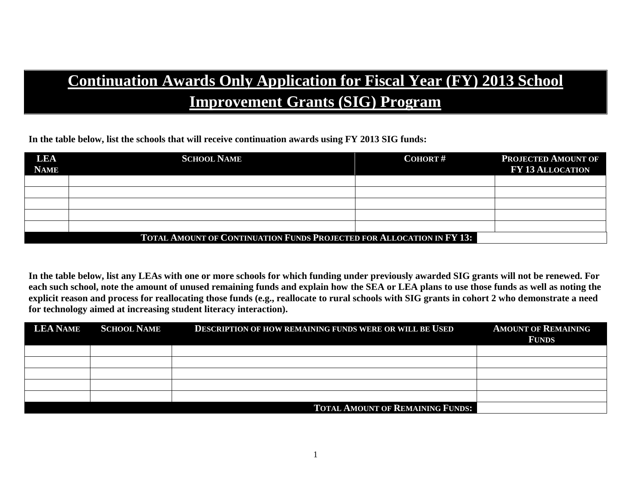# **Continuation Awards Only Application for Fiscal Year (FY) 2013 School Improvement Grants (SIG) Program**

**In the table below, list the schools that will receive continuation awards using FY 2013 SIG funds:**

| LEA<br><b>NAME</b> | <b>SCHOOL NAME</b>                                                           | <b>COHORT#</b> | <b>PROJECTED AMOUNT OF</b><br><b>FY 13 ALLOCATION</b> |  |  |
|--------------------|------------------------------------------------------------------------------|----------------|-------------------------------------------------------|--|--|
|                    |                                                                              |                |                                                       |  |  |
|                    |                                                                              |                |                                                       |  |  |
|                    |                                                                              |                |                                                       |  |  |
|                    |                                                                              |                |                                                       |  |  |
|                    |                                                                              |                |                                                       |  |  |
|                    | <b>TOTAL AMOUNT OF CONTINUATION FUNDS PROJECTED FOR ALLOCATION IN FY 13:</b> |                |                                                       |  |  |

**In the table below, list any LEAs with one or more schools for which funding under previously awarded SIG grants will not be renewed. For each such school, note the amount of unused remaining funds and explain how the SEA or LEA plans to use those funds as well as noting the explicit reason and process for reallocating those funds (e.g., reallocate to rural schools with SIG grants in cohort 2 who demonstrate a need for technology aimed at increasing student literacy interaction).**

| <b>LEA NAME</b> | <b>SCHOOL NAME</b> | <b>DESCRIPTION OF HOW REMAINING FUNDS WERE OR WILL BE USED</b> | <b>AMOUNT OF REMAINING</b><br><b>FUNDS</b> |
|-----------------|--------------------|----------------------------------------------------------------|--------------------------------------------|
|                 |                    |                                                                |                                            |
|                 |                    |                                                                |                                            |
|                 |                    |                                                                |                                            |
|                 |                    |                                                                |                                            |
|                 |                    |                                                                |                                            |
|                 |                    | <b>TOTAL AMOUNT OF REMAINING FUNDS:</b>                        |                                            |